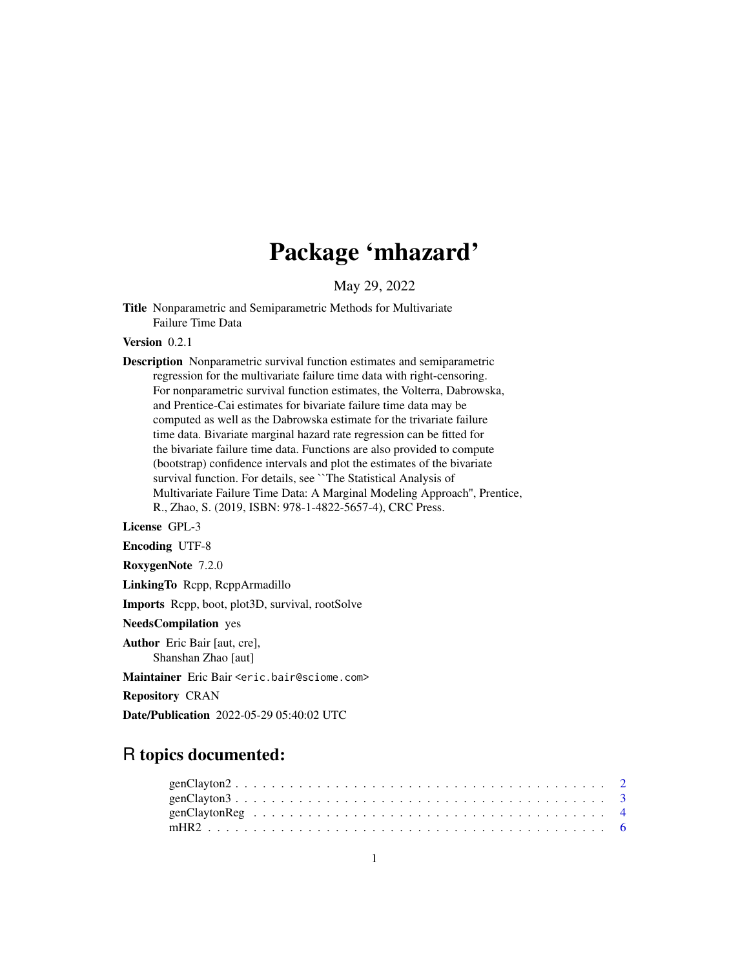# Package 'mhazard'

May 29, 2022

<span id="page-0-0"></span>Title Nonparametric and Semiparametric Methods for Multivariate Failure Time Data

Version 0.2.1

Description Nonparametric survival function estimates and semiparametric regression for the multivariate failure time data with right-censoring. For nonparametric survival function estimates, the Volterra, Dabrowska, and Prentice-Cai estimates for bivariate failure time data may be computed as well as the Dabrowska estimate for the trivariate failure time data. Bivariate marginal hazard rate regression can be fitted for the bivariate failure time data. Functions are also provided to compute (bootstrap) confidence intervals and plot the estimates of the bivariate survival function. For details, see ``The Statistical Analysis of Multivariate Failure Time Data: A Marginal Modeling Approach'', Prentice, R., Zhao, S. (2019, ISBN: 978-1-4822-5657-4), CRC Press.

License GPL-3

Encoding UTF-8

RoxygenNote 7.2.0

LinkingTo Rcpp, RcppArmadillo

Imports Rcpp, boot, plot3D, survival, rootSolve

NeedsCompilation yes

Author Eric Bair [aut, cre], Shanshan Zhao [aut]

Maintainer Eric Bair <eric.bair@sciome.com>

Repository CRAN

Date/Publication 2022-05-29 05:40:02 UTC

# R topics documented: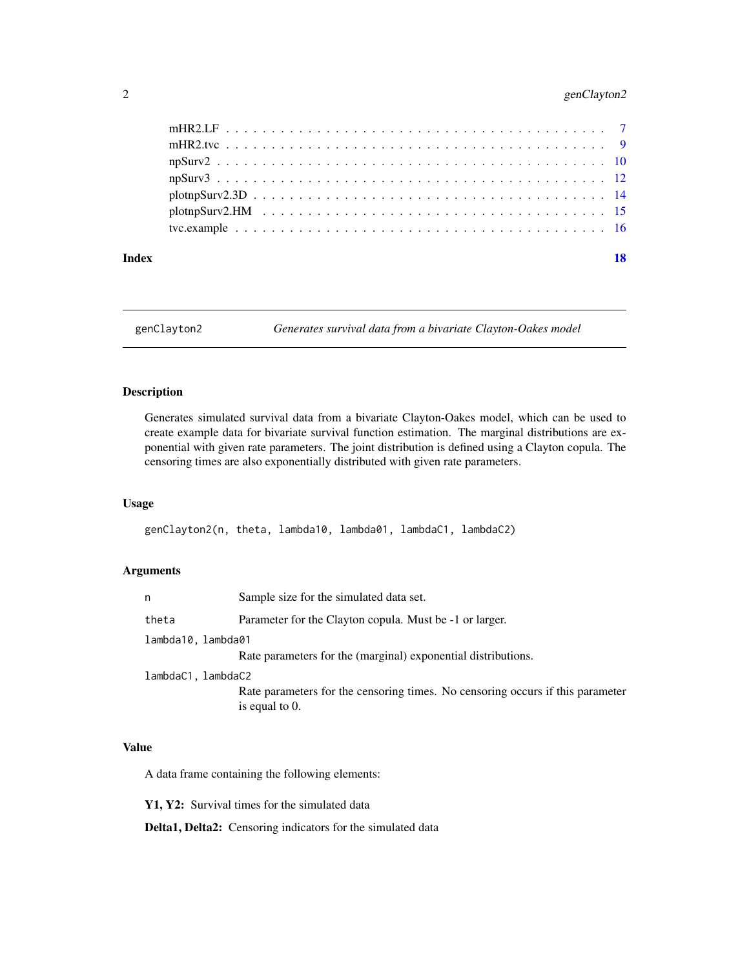# <span id="page-1-0"></span>2 genClayton2

#### **Index** 2008 **[18](#page-17-0)**

genClayton2 *Generates survival data from a bivariate Clayton-Oakes model*

# Description

Generates simulated survival data from a bivariate Clayton-Oakes model, which can be used to create example data for bivariate survival function estimation. The marginal distributions are exponential with given rate parameters. The joint distribution is defined using a Clayton copula. The censoring times are also exponentially distributed with given rate parameters.

# Usage

genClayton2(n, theta, lambda10, lambda01, lambdaC1, lambdaC2)

# Arguments

| n                  | Sample size for the simulated data set.                                                             |
|--------------------|-----------------------------------------------------------------------------------------------------|
| theta              | Parameter for the Clayton copula. Must be -1 or larger.                                             |
| lambda10.lambda01  |                                                                                                     |
|                    | Rate parameters for the (marginal) exponential distributions.                                       |
| lambdaC1, lambdaC2 |                                                                                                     |
|                    | Rate parameters for the censoring times. No censoring occurs if this parameter<br>is equal to $0$ . |
|                    |                                                                                                     |

# Value

A data frame containing the following elements:

Y1, Y2: Survival times for the simulated data

Delta1, Delta2: Censoring indicators for the simulated data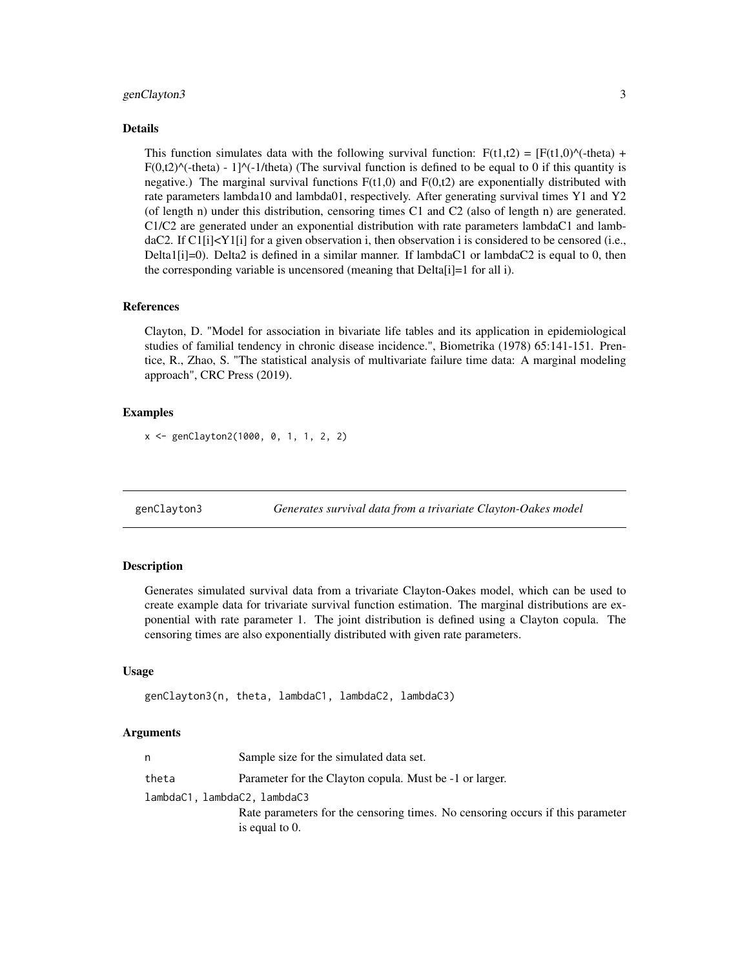## <span id="page-2-0"></span>genClayton3 3

#### Details

This function simulates data with the following survival function:  $F(t1,t2) = [F(t1,0)^{\lambda}(-theta) +$  $F(0,t2)^{\wedge}$ (-theta) - 1] $^{\wedge}$ (-1/theta) (The survival function is defined to be equal to 0 if this quantity is negative.) The marginal survival functions  $F(t1,0)$  and  $F(0,t2)$  are exponentially distributed with rate parameters lambda10 and lambda01, respectively. After generating survival times Y1 and Y2 (of length n) under this distribution, censoring times C1 and C2 (also of length n) are generated. C1/C2 are generated under an exponential distribution with rate parameters lambdaC1 and lambdaC2. If  $Cl[i] \leq Y1[i]$  for a given observation i, then observation i is considered to be censored (i.e., Delta1[i]=0). Delta2 is defined in a similar manner. If lambdaC1 or lambdaC2 is equal to 0, then the corresponding variable is uncensored (meaning that Delta[i]=1 for all i).

#### References

Clayton, D. "Model for association in bivariate life tables and its application in epidemiological studies of familial tendency in chronic disease incidence.", Biometrika (1978) 65:141-151. Prentice, R., Zhao, S. "The statistical analysis of multivariate failure time data: A marginal modeling approach", CRC Press (2019).

#### Examples

x <- genClayton2(1000, 0, 1, 1, 2, 2)

genClayton3 *Generates survival data from a trivariate Clayton-Oakes model*

#### **Description**

Generates simulated survival data from a trivariate Clayton-Oakes model, which can be used to create example data for trivariate survival function estimation. The marginal distributions are exponential with rate parameter 1. The joint distribution is defined using a Clayton copula. The censoring times are also exponentially distributed with given rate parameters.

#### Usage

```
genClayton3(n, theta, lambdaC1, lambdaC2, lambdaC3)
```
#### Arguments

| n                            | Sample size for the simulated data set.                                        |
|------------------------------|--------------------------------------------------------------------------------|
| theta                        | Parameter for the Clayton copula. Must be -1 or larger.                        |
| lambdaC1, lambdaC2, lambdaC3 |                                                                                |
|                              | Rate parameters for the censoring times. No censoring occurs if this parameter |
|                              | is equal to $0$ .                                                              |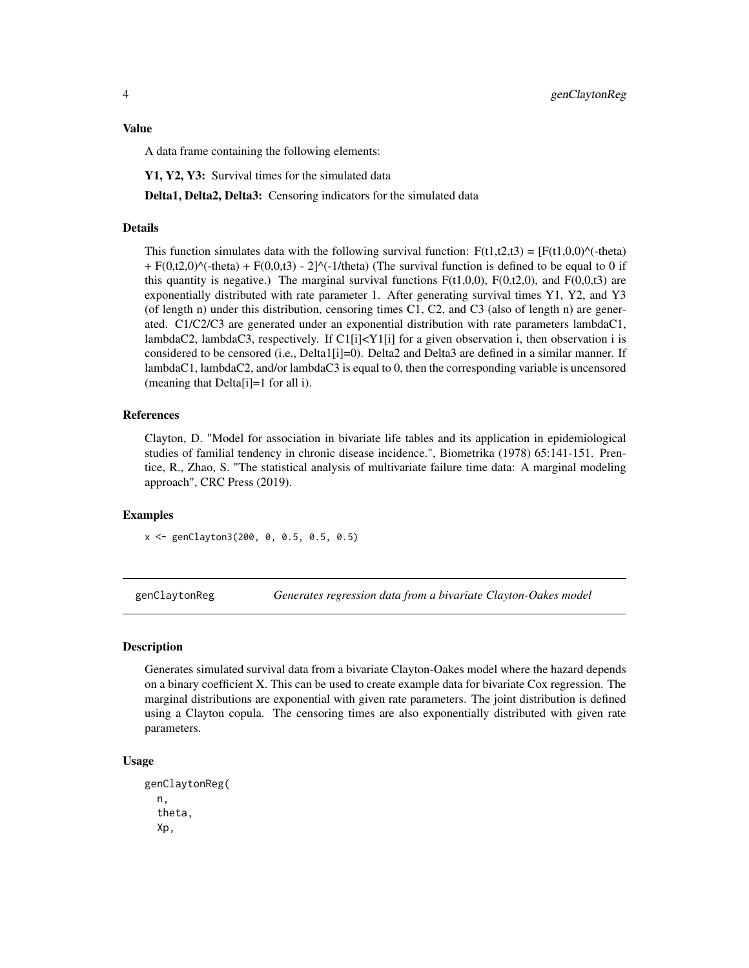#### <span id="page-3-0"></span>Value

A data frame containing the following elements:

Y1, Y2, Y3: Survival times for the simulated data

Delta1, Delta2, Delta3: Censoring indicators for the simulated data

#### Details

This function simulates data with the following survival function:  $F(t1,t2,t3) = [F(t1,0,0)^{\hat{ }}(-t)$  $+ F(0,t2,0)$ <sup> $\wedge$ </sup>(-theta) + F(0,0,t3) - 2] $\wedge$ (-1/theta) (The survival function is defined to be equal to 0 if this quantity is negative.) The marginal survival functions  $F(t1,0,0)$ ,  $F(0,t2,0)$ , and  $F(0,0,t3)$  are exponentially distributed with rate parameter 1. After generating survival times Y1, Y2, and Y3 (of length n) under this distribution, censoring times C1, C2, and C3 (also of length n) are generated. C1/C2/C3 are generated under an exponential distribution with rate parameters lambdaC1, lambdaC2, lambdaC3, respectively. If  $Cl[i] < Y1[i]$  for a given observation i, then observation i is considered to be censored (i.e., Delta1[i]=0). Delta2 and Delta3 are defined in a similar manner. If lambdaC1, lambdaC2, and/or lambdaC3 is equal to 0, then the corresponding variable is uncensored (meaning that Delta[i]=1 for all i).

#### References

Clayton, D. "Model for association in bivariate life tables and its application in epidemiological studies of familial tendency in chronic disease incidence.", Biometrika (1978) 65:141-151. Prentice, R., Zhao, S. "The statistical analysis of multivariate failure time data: A marginal modeling approach", CRC Press (2019).

#### Examples

x <- genClayton3(200, 0, 0.5, 0.5, 0.5)

<span id="page-3-1"></span>genClaytonReg *Generates regression data from a bivariate Clayton-Oakes model*

#### **Description**

Generates simulated survival data from a bivariate Clayton-Oakes model where the hazard depends on a binary coefficient X. This can be used to create example data for bivariate Cox regression. The marginal distributions are exponential with given rate parameters. The joint distribution is defined using a Clayton copula. The censoring times are also exponentially distributed with given rate parameters.

```
genClaytonReg(
  n,
  theta,
  Xp,
```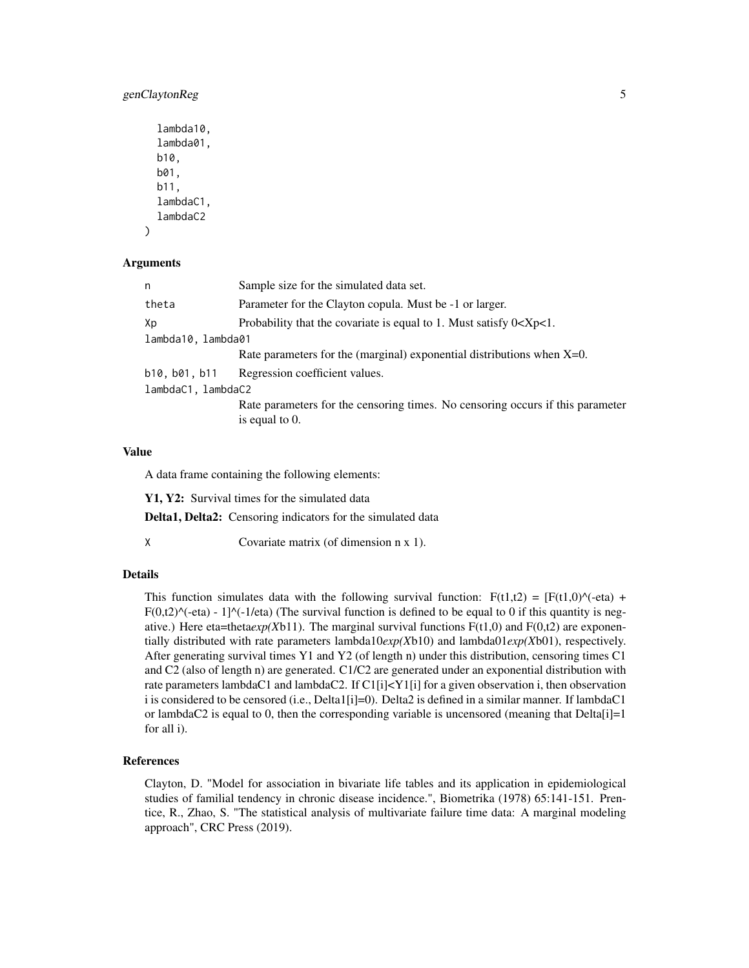# genClaytonReg 5

```
lambda10,
lambda01,
b10,
b01,
b11,
lambdaC1,
lambdaC2
```
#### Arguments

)

| n                  | Sample size for the simulated data set.                                                             |
|--------------------|-----------------------------------------------------------------------------------------------------|
| theta              | Parameter for the Clayton copula. Must be -1 or larger.                                             |
| Хp                 | Probability that the covariate is equal to 1. Must satisfy $0 < Xp < 1$ .                           |
| lambda10, lambda01 |                                                                                                     |
|                    | Rate parameters for the (marginal) exponential distributions when $X=0$ .                           |
| b10,b01,b11        | Regression coefficient values.                                                                      |
| lambdaC1, lambdaC2 |                                                                                                     |
|                    | Rate parameters for the censoring times. No censoring occurs if this parameter<br>is equal to $0$ . |

#### Value

A data frame containing the following elements:

Y1, Y2: Survival times for the simulated data

Delta1, Delta2: Censoring indicators for the simulated data

X Covariate matrix (of dimension n x 1).

#### Details

This function simulates data with the following survival function:  $F(t1,t2) = [F(t1,0)^\circ(-eta) +$  $F(0,t2)^\wedge$ (-eta) - 1] $^\wedge$ (-1/eta) (The survival function is defined to be equal to 0 if this quantity is negative.) Here eta=theta*exp(X*b11). The marginal survival functions F(t1,0) and F(0,t2) are exponentially distributed with rate parameters lambda10*exp(X*b10) and lambda01*exp(X*b01), respectively. After generating survival times Y1 and Y2 (of length n) under this distribution, censoring times C1 and C2 (also of length n) are generated. C1/C2 are generated under an exponential distribution with rate parameters lambdaC1 and lambdaC2. If C1[i]<Y1[i] for a given observation i, then observation i is considered to be censored (i.e., Delta1[i]=0). Delta2 is defined in a similar manner. If lambdaC1 or lambdaC2 is equal to 0, then the corresponding variable is uncensored (meaning that  $Delta[i]=1$ for all i).

#### References

Clayton, D. "Model for association in bivariate life tables and its application in epidemiological studies of familial tendency in chronic disease incidence.", Biometrika (1978) 65:141-151. Prentice, R., Zhao, S. "The statistical analysis of multivariate failure time data: A marginal modeling approach", CRC Press (2019).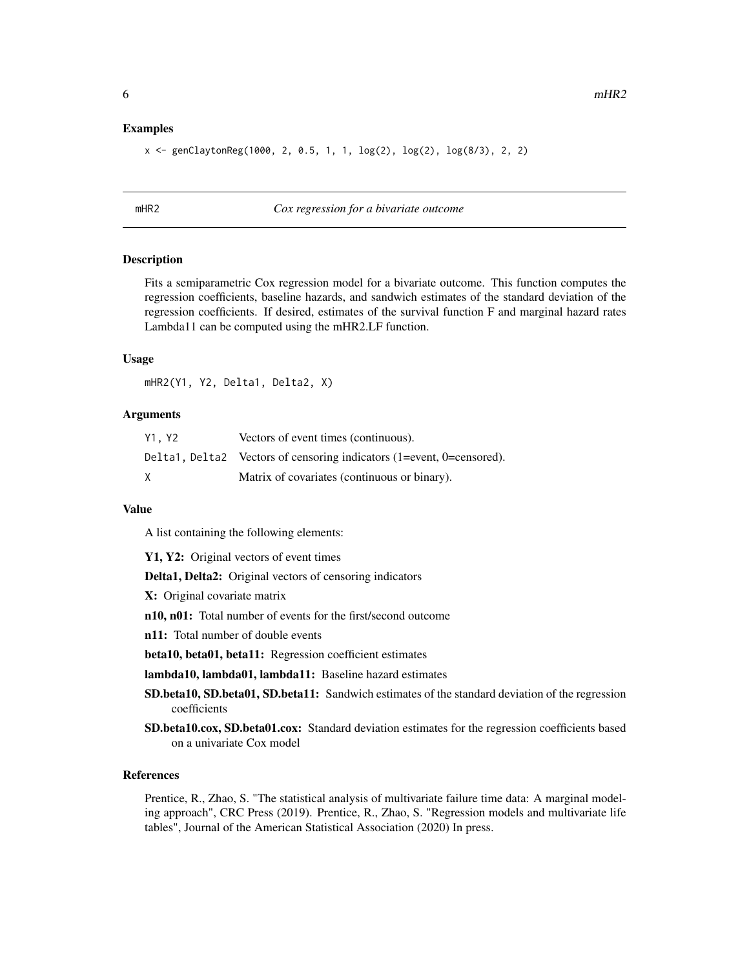#### <span id="page-5-0"></span>Examples

```
x <- genClaytonReg(1000, 2, 0.5, 1, 1, log(2), log(2), log(8/3), 2, 2)
```
<span id="page-5-1"></span>

#### mHR2 *Cox regression for a bivariate outcome*

#### Description

Fits a semiparametric Cox regression model for a bivariate outcome. This function computes the regression coefficients, baseline hazards, and sandwich estimates of the standard deviation of the regression coefficients. If desired, estimates of the survival function F and marginal hazard rates Lambda11 can be computed using the mHR2.LF function.

#### Usage

mHR2(Y1, Y2, Delta1, Delta2, X)

#### Arguments

| Y1.Y2 | Vectors of event times (continuous).                                  |
|-------|-----------------------------------------------------------------------|
|       | Delta1, Delta2 Vectors of censoring indicators (1=event, 0=censored). |
|       | Matrix of covariates (continuous or binary).                          |

#### Value

A list containing the following elements:

Y1, Y2: Original vectors of event times

Delta1, Delta2: Original vectors of censoring indicators

X: Original covariate matrix

n10, n01: Total number of events for the first/second outcome

n11: Total number of double events

beta10, beta01, beta11: Regression coefficient estimates

lambda10, lambda01, lambda11: Baseline hazard estimates

SD.beta10, SD.beta01, SD.beta11: Sandwich estimates of the standard deviation of the regression coefficients

SD.beta10.cox, SD.beta01.cox: Standard deviation estimates for the regression coefficients based on a univariate Cox model

# References

Prentice, R., Zhao, S. "The statistical analysis of multivariate failure time data: A marginal modeling approach", CRC Press (2019). Prentice, R., Zhao, S. "Regression models and multivariate life tables", Journal of the American Statistical Association (2020) In press.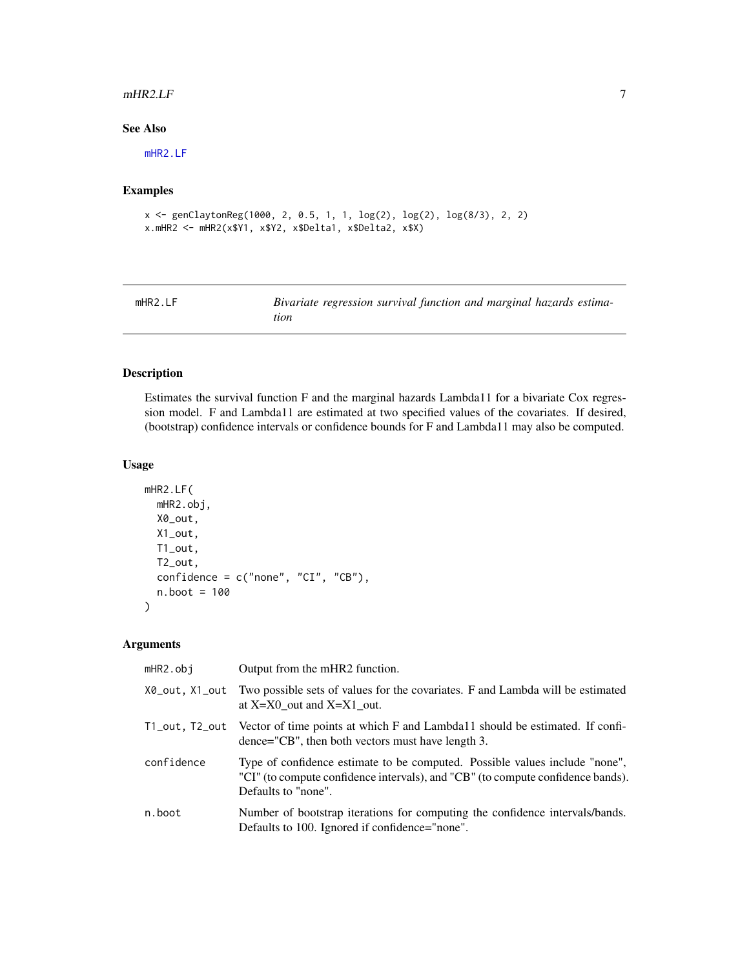#### <span id="page-6-0"></span> $mHR2.LF$   $\qquad \qquad$  7

# See Also

[mHR2.LF](#page-6-1)

# Examples

```
x <- genClaytonReg(1000, 2, 0.5, 1, 1, log(2), log(2), log(8/3), 2, 2)
x.mHR2 <- mHR2(x$Y1, x$Y2, x$Delta1, x$Delta2, x$X)
```
<span id="page-6-1"></span>

| mHR2.EF | Bivariate regression survival function and marginal hazards estima- |
|---------|---------------------------------------------------------------------|
|         | tion                                                                |

# Description

Estimates the survival function F and the marginal hazards Lambda11 for a bivariate Cox regression model. F and Lambda11 are estimated at two specified values of the covariates. If desired, (bootstrap) confidence intervals or confidence bounds for F and Lambda11 may also be computed.

# Usage

```
mHR2.LF(
 mHR2.obj,
 X0_out,
 X1_out,
 T1_out,
 T2_out,
  confidence = c("none", "CI", "CB"),n.boot = 100
\lambda
```
# Arguments

| $mHR2.$ obj    | Output from the mHR2 function.                                                                                                                                                        |
|----------------|---------------------------------------------------------------------------------------------------------------------------------------------------------------------------------------|
| X0_out, X1_out | Two possible sets of values for the covariates. F and Lambda will be estimated<br>at $X=X0$ out and $X=X1$ out.                                                                       |
|                | T1_out, T2_out Vector of time points at which F and Lambda11 should be estimated. If confi-<br>dence="CB", then both vectors must have length 3.                                      |
| confidence     | Type of confidence estimate to be computed. Possible values include "none",<br>"CI" (to compute confidence intervals), and "CB" (to compute confidence bands).<br>Defaults to "none". |
| n.boot         | Number of bootstrap iterations for computing the confidence intervals/bands.<br>Defaults to 100. Ignored if confidence="none".                                                        |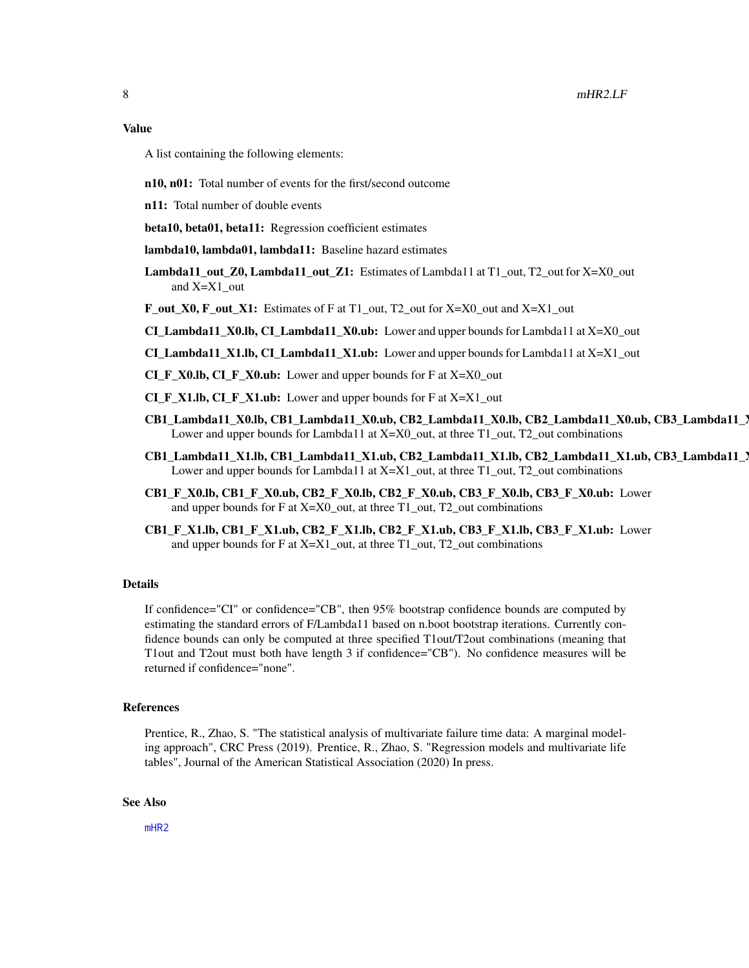#### <span id="page-7-0"></span>Value

A list containing the following elements:

- n10, n01: Total number of events for the first/second outcome
- n11: Total number of double events
- beta10, beta01, beta11: Regression coefficient estimates
- lambda10, lambda01, lambda11: Baseline hazard estimates
- Lambda11\_out\_Z0, Lambda11\_out\_Z1: Estimates of Lambda11 at T1\_out, T2\_out for X=X0\_out and X=X1\_out
- **F\_out\_X0, F\_out\_X1:** Estimates of F at  $T1$ \_out,  $T2$ \_out for  $X=X0$ \_out and  $X=X1$ \_out
- CI Lambda11 X0.lb, CI Lambda11  $X0.$ ub: Lower and upper bounds for Lambda11 at  $X=X0$  out
- CI\_Lambda11\_X1.lb, CI\_Lambda11\_X1.ub: Lower and upper bounds for Lambda11 at X=X1\_out
- CI\_F\_X0.lb, CI\_F\_X0.ub: Lower and upper bounds for F at X=X0\_out
- $CI_F_X1.1b, CI_F_X1.1c$ : Lower and upper bounds for F at  $X=X1_$  out
- CB1\_Lambda11\_X0.lb, CB1\_Lambda11\_X0.ub, CB2\_Lambda11\_X0.lb, CB2\_Lambda11\_X0.ub, CB3\_Lambda11\_X0.lb, CB3\_Lambda11\_X0.ub: Lower and upper bounds for Lambda11 at X=X0\_out, at three T1\_out, T2\_out combinations
- CB1\_Lambda11\_X1.lb, CB1\_Lambda11\_X1.ub, CB2\_Lambda11\_X1.lb, CB2\_Lambda11\_X1.ub, CB3\_Lambda11\_X1.lb, CB3\_Lambda11\_X1.ub: Lower and upper bounds for Lambda11 at  $X=X1$  out, at three T1\_out, T2\_out combinations
- CB1\_F\_X0.lb, CB1\_F\_X0.ub, CB2\_F\_X0.lb, CB2\_F\_X0.ub, CB3\_F\_X0.lb, CB3\_F\_X0.ub: Lower and upper bounds for F at X=X0\_out, at three T1\_out, T2\_out combinations
- $CB1$ <sub>F</sub>\_X1.lb, CB1<sub>\_F</sub>\_X1.ub, CB2\_F\_X1.lb, CB2\_F\_X1.ub, CB3\_F\_X1.lb, CB3\_F\_X1.ub: Lower and upper bounds for F at X=X1\_out, at three T1\_out, T2\_out combinations

#### Details

If confidence="CI" or confidence="CB", then 95% bootstrap confidence bounds are computed by estimating the standard errors of F/Lambda11 based on n.boot bootstrap iterations. Currently confidence bounds can only be computed at three specified T1out/T2out combinations (meaning that T1out and T2out must both have length 3 if confidence="CB"). No confidence measures will be returned if confidence="none".

#### References

Prentice, R., Zhao, S. "The statistical analysis of multivariate failure time data: A marginal modeling approach", CRC Press (2019). Prentice, R., Zhao, S. "Regression models and multivariate life tables", Journal of the American Statistical Association (2020) In press.

#### See Also

[mHR2](#page-5-1)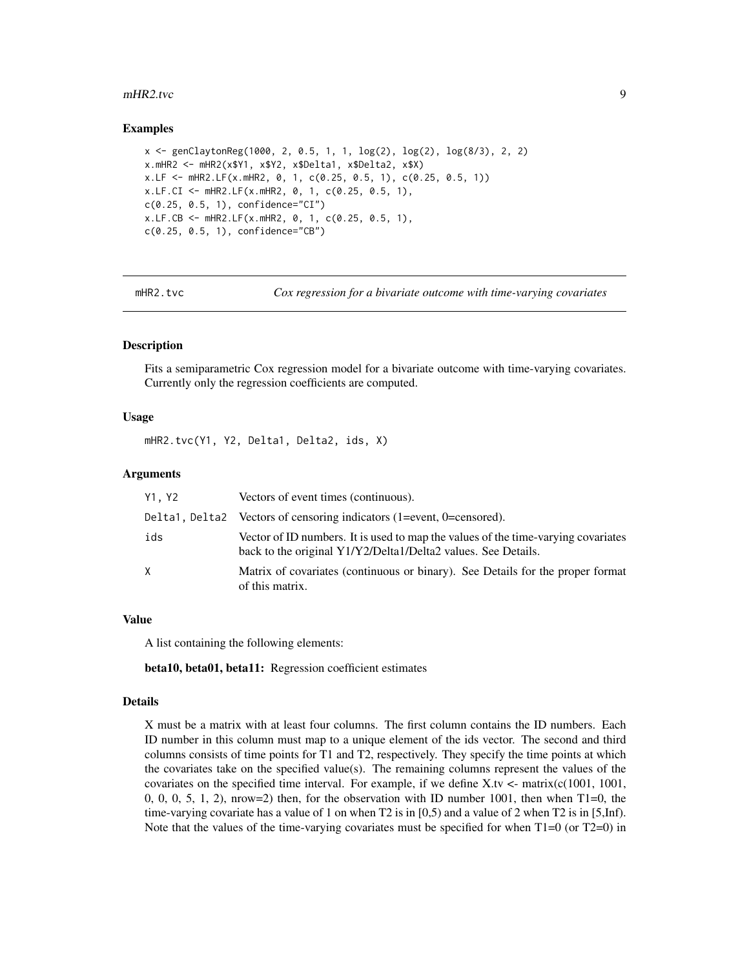#### <span id="page-8-0"></span>mHR2.tvc 9

#### Examples

```
x <- genClaytonReg(1000, 2, 0.5, 1, 1, log(2), log(2), log(8/3), 2, 2)
x.mHR2 <- mHR2(x$Y1, x$Y2, x$Delta1, x$Delta2, x$X)
x.LF <- mHR2.LF(x.mHR2, 0, 1, c(0.25, 0.5, 1), c(0.25, 0.5, 1))
x.LF.CI <- mHR2.LF(x.mHR2, 0, 1, c(0.25, 0.5, 1),
c(0.25, 0.5, 1), confidence="CI")
x.LF.CB <- mHR2.LF(x.mHR2, 0, 1, c(0.25, 0.5, 1),
c(0.25, 0.5, 1), confidence="CB")
```
mHR2.tvc *Cox regression for a bivariate outcome with time-varying covariates*

#### **Description**

Fits a semiparametric Cox regression model for a bivariate outcome with time-varying covariates. Currently only the regression coefficients are computed.

#### Usage

mHR2.tvc(Y1, Y2, Delta1, Delta2, ids, X)

#### Arguments

| Y1.Y2 | Vectors of event times (continuous).                                                                                                               |
|-------|----------------------------------------------------------------------------------------------------------------------------------------------------|
|       | Delta1, Delta2 Vectors of censoring indicators (1=event, 0=censored).                                                                              |
| ids   | Vector of ID numbers. It is used to map the values of the time-varying covariates<br>back to the original Y1/Y2/Delta1/Delta2 values. See Details. |
| X     | Matrix of covariates (continuous or binary). See Details for the proper format<br>of this matrix.                                                  |

#### Value

A list containing the following elements:

beta10, beta01, beta11: Regression coefficient estimates

#### Details

X must be a matrix with at least four columns. The first column contains the ID numbers. Each ID number in this column must map to a unique element of the ids vector. The second and third columns consists of time points for T1 and T2, respectively. They specify the time points at which the covariates take on the specified value(s). The remaining columns represent the values of the covariates on the specified time interval. For example, if we define X.tv  $\lt$ - matrix(c(1001, 1001, 0, 0, 0, 5, 1, 2), nrow=2) then, for the observation with ID number 1001, then when  $T1=0$ , the time-varying covariate has a value of 1 on when T2 is in [0,5) and a value of 2 when T2 is in [5,Inf). Note that the values of the time-varying covariates must be specified for when  $T1=0$  (or  $T2=0$ ) in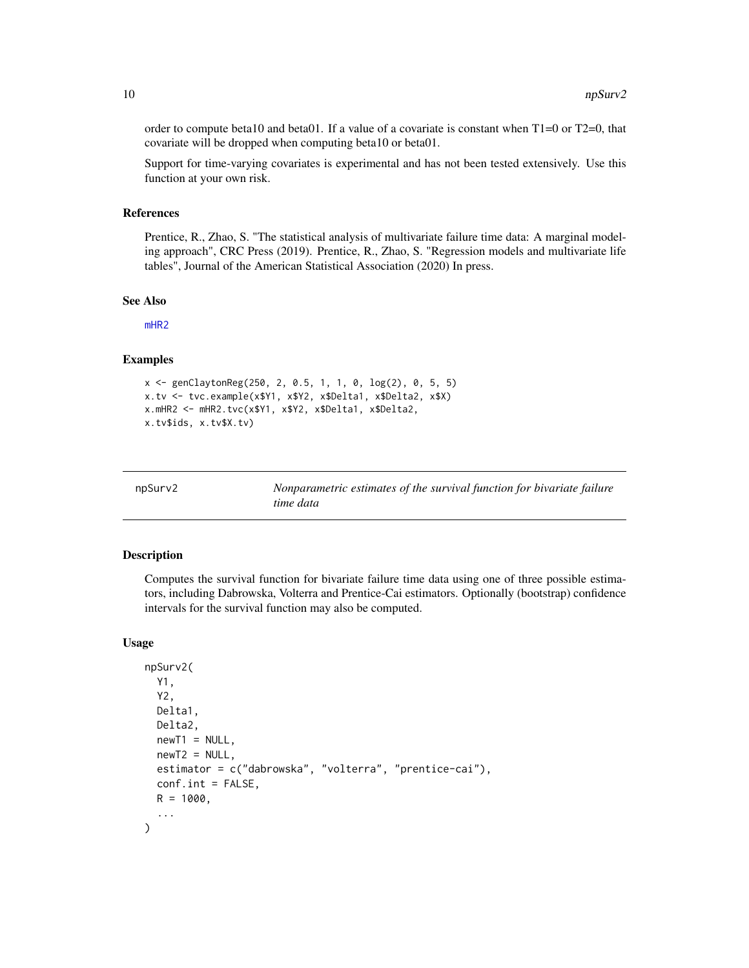<span id="page-9-0"></span>order to compute beta10 and beta01. If a value of a covariate is constant when  $T1=0$  or  $T2=0$ , that covariate will be dropped when computing beta10 or beta01.

Support for time-varying covariates is experimental and has not been tested extensively. Use this function at your own risk.

#### References

Prentice, R., Zhao, S. "The statistical analysis of multivariate failure time data: A marginal modeling approach", CRC Press (2019). Prentice, R., Zhao, S. "Regression models and multivariate life tables", Journal of the American Statistical Association (2020) In press.

#### See Also

[mHR2](#page-5-1)

#### Examples

```
x <- genClaytonReg(250, 2, 0.5, 1, 1, 0, log(2), 0, 5, 5)
x.tv <- tvc.example(x$Y1, x$Y2, x$Delta1, x$Delta2, x$X)
x.mHR2 <- mHR2.tvc(x$Y1, x$Y2, x$Delta1, x$Delta2,
x.tv$ids, x.tv$X.tv)
```
<span id="page-9-1"></span>

| npSurv2 | Nonparametric estimates of the survival function for bivariate failure |
|---------|------------------------------------------------------------------------|
|         | time data                                                              |

#### Description

Computes the survival function for bivariate failure time data using one of three possible estimators, including Dabrowska, Volterra and Prentice-Cai estimators. Optionally (bootstrap) confidence intervals for the survival function may also be computed.

```
npSurv2(
 Y1,
  Y2,
 Delta1,
 Delta2,
  newT1 = NULL,newT2 = NULL,estimator = c("dabrowska", "volterra", "prentice-cai"),
  conf.int = FALSE,R = 1000,
  ...
)
```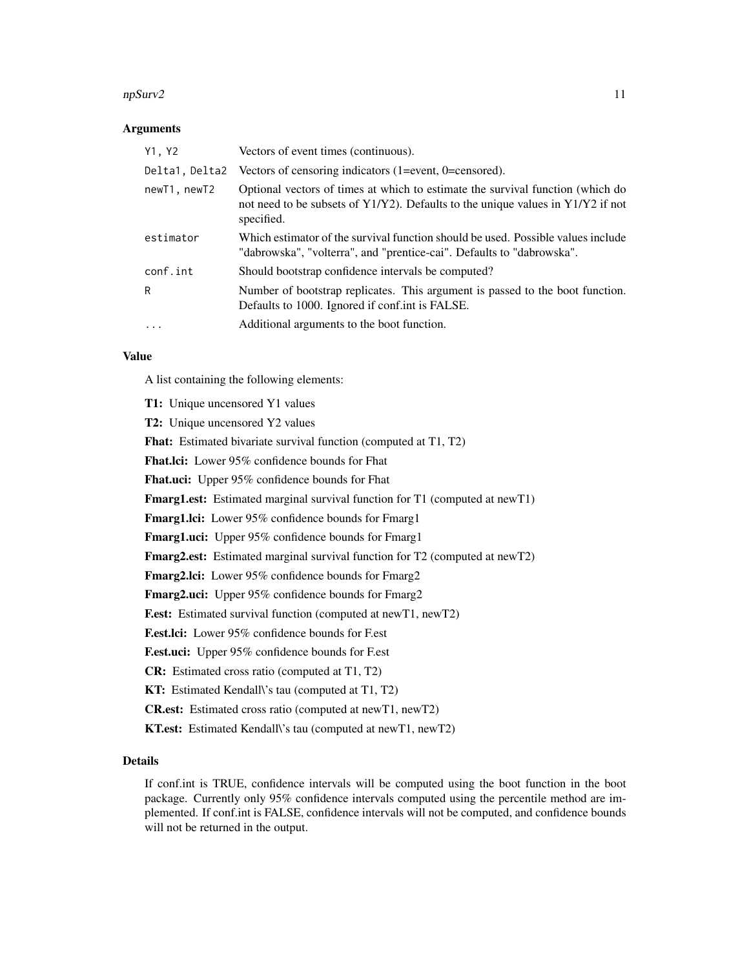#### npSurv2 11

#### **Arguments**

| Y1, Y2         | Vectors of event times (continuous).                                                                                                                                                 |
|----------------|--------------------------------------------------------------------------------------------------------------------------------------------------------------------------------------|
| Delta1, Delta2 | Vectors of censoring indicators $(1 = event, 0 = c)$ .                                                                                                                               |
| newT1, newT2   | Optional vectors of times at which to estimate the survival function (which do<br>not need to be subsets of $Y1/Y2$ ). Defaults to the unique values in $Y1/Y2$ if not<br>specified. |
| estimator      | Which estimator of the survival function should be used. Possible values include<br>"dabrowska", "volterra", and "prentice-cai". Defaults to "dabrowska".                            |
| conf.int       | Should bootstrap confidence intervals be computed?                                                                                                                                   |
| R              | Number of bootstrap replicates. This argument is passed to the boot function.<br>Defaults to 1000. Ignored if conf.int is FALSE.                                                     |
| $\ddots$ .     | Additional arguments to the boot function.                                                                                                                                           |

# Value

A list containing the following elements:

T1: Unique uncensored Y1 values T2: Unique uncensored Y2 values Fhat: Estimated bivariate survival function (computed at T1, T2) Fhat.lci: Lower 95% confidence bounds for Fhat Fhat.uci: Upper 95% confidence bounds for Fhat Fmarg1.est: Estimated marginal survival function for T1 (computed at newT1) Fmarg1.lci: Lower 95% confidence bounds for Fmarg1 Fmarg1.uci: Upper 95% confidence bounds for Fmarg1 Fmarg2.est: Estimated marginal survival function for T2 (computed at newT2) Fmarg2.lci: Lower 95% confidence bounds for Fmarg2 Fmarg2.uci: Upper 95% confidence bounds for Fmarg2 F.est: Estimated survival function (computed at newT1, newT2) F.est.lci: Lower 95% confidence bounds for F.est F.est.uci: Upper 95% confidence bounds for F.est CR: Estimated cross ratio (computed at T1, T2) KT: Estimated Kendall\'s tau (computed at T1, T2) CR.est: Estimated cross ratio (computed at newT1, newT2) KT.est: Estimated Kendall\'s tau (computed at newT1, newT2)

# Details

If conf.int is TRUE, confidence intervals will be computed using the boot function in the boot package. Currently only 95% confidence intervals computed using the percentile method are implemented. If conf.int is FALSE, confidence intervals will not be computed, and confidence bounds will not be returned in the output.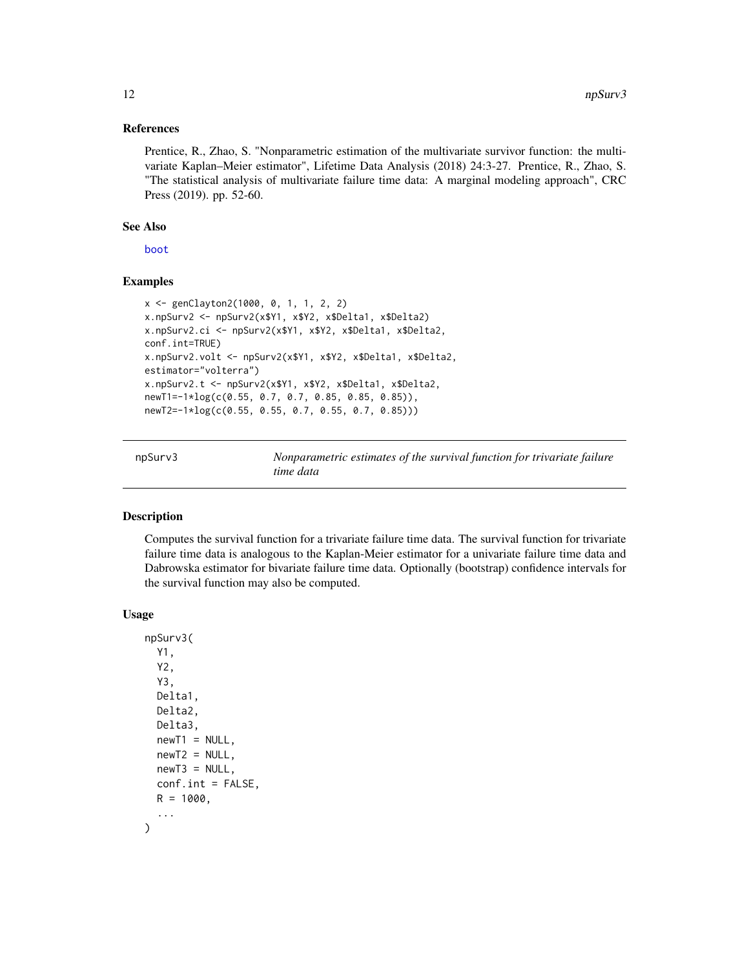#### <span id="page-11-0"></span>References

Prentice, R., Zhao, S. "Nonparametric estimation of the multivariate survivor function: the multivariate Kaplan–Meier estimator", Lifetime Data Analysis (2018) 24:3-27. Prentice, R., Zhao, S. "The statistical analysis of multivariate failure time data: A marginal modeling approach", CRC Press (2019). pp. 52-60.

#### See Also

[boot](#page-0-0)

# Examples

```
x <- genClayton2(1000, 0, 1, 1, 2, 2)
x.npSurv2 <- npSurv2(x$Y1, x$Y2, x$Delta1, x$Delta2)
x.npSurv2.ci <- npSurv2(x$Y1, x$Y2, x$Delta1, x$Delta2,
conf.int=TRUE)
x.npSurv2.volt <- npSurv2(x$Y1, x$Y2, x$Delta1, x$Delta2,
estimator="volterra")
x.npSurv2.t <- npSurv2(x$Y1, x$Y2, x$Delta1, x$Delta2,
newT1=-1*log(c(0.55, 0.7, 0.7, 0.85, 0.85, 0.85)),
newT2=-1*log(c(0.55, 0.55, 0.7, 0.55, 0.7, 0.85)))
```
npSurv3 *Nonparametric estimates of the survival function for trivariate failure time data*

# Description

Computes the survival function for a trivariate failure time data. The survival function for trivariate failure time data is analogous to the Kaplan-Meier estimator for a univariate failure time data and Dabrowska estimator for bivariate failure time data. Optionally (bootstrap) confidence intervals for the survival function may also be computed.

```
npSurv3(
  Y1,
  Y2,
  Y3,
 Delta1,
 Delta2,
  Delta3,
  newT1 = NULL,newT2 = NULL,newT3 = NULL,conf.int = FALSE,
 R = 1000,
  ...
)
```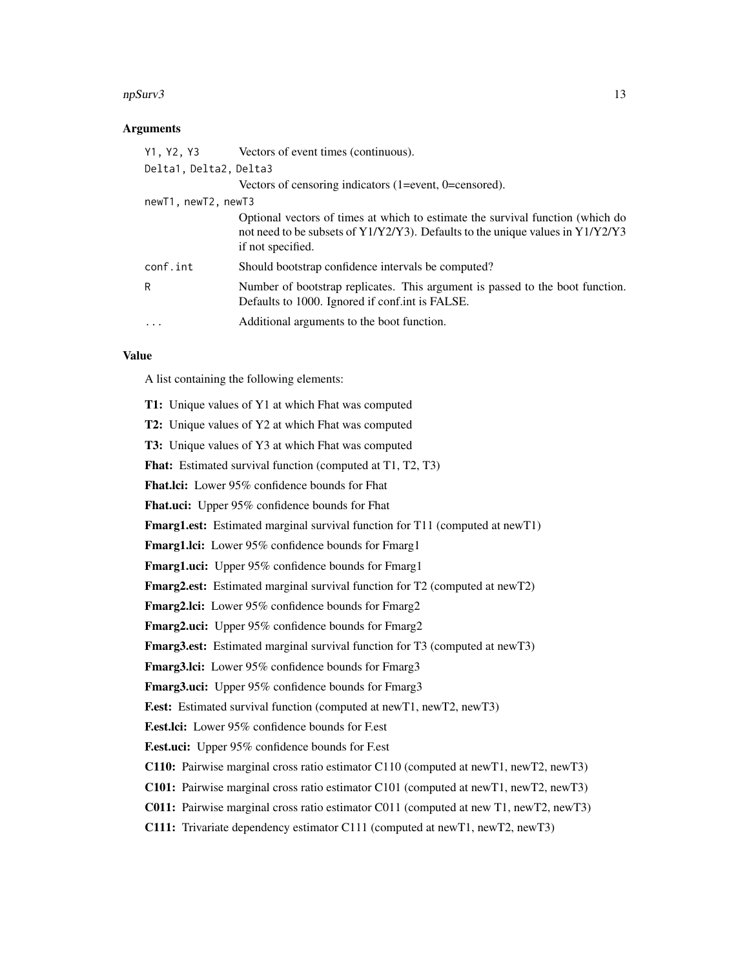#### npSurv3 13

#### **Arguments**

| Y1, Y2, Y3             | Vectors of event times (continuous).                                                                                                                                                       |
|------------------------|--------------------------------------------------------------------------------------------------------------------------------------------------------------------------------------------|
| Delta1, Delta2, Delta3 |                                                                                                                                                                                            |
|                        | Vectors of censoring indicators $(1 = event, 0 = c)$ .                                                                                                                                     |
| newT1, newT2, newT3    |                                                                                                                                                                                            |
|                        | Optional vectors of times at which to estimate the survival function (which do<br>not need to be subsets of $Y1/Y2/Y3$ ). Defaults to the unique values in $Y1/Y2/Y3$<br>if not specified. |
| conf.int               | Should bootstrap confidence intervals be computed?                                                                                                                                         |
| R                      | Number of bootstrap replicates. This argument is passed to the boot function.<br>Defaults to 1000. Ignored if conf.int is FALSE.                                                           |
| $\cdot$                | Additional arguments to the boot function.                                                                                                                                                 |

# Value

A list containing the following elements:

T1: Unique values of Y1 at which Fhat was computed T2: Unique values of Y2 at which Fhat was computed T3: Unique values of Y3 at which Fhat was computed Fhat: Estimated survival function (computed at T1, T2, T3) Fhat.lci: Lower 95% confidence bounds for Fhat Fhat.uci: Upper 95% confidence bounds for Fhat Fmarg1.est: Estimated marginal survival function for T11 (computed at newT1) Fmarg1.lci: Lower 95% confidence bounds for Fmarg1 Fmarg1.uci: Upper 95% confidence bounds for Fmarg1 Fmarg2.est: Estimated marginal survival function for T2 (computed at newT2) Fmarg2.lci: Lower 95% confidence bounds for Fmarg2 Fmarg2.uci: Upper 95% confidence bounds for Fmarg2 Fmarg3.est: Estimated marginal survival function for T3 (computed at newT3) Fmarg3.lci: Lower 95% confidence bounds for Fmarg3 Fmarg3.uci: Upper 95% confidence bounds for Fmarg3 F.est: Estimated survival function (computed at newT1, newT2, newT3) F.est.lci: Lower 95% confidence bounds for F.est F.est.uci: Upper 95% confidence bounds for F.est C110: Pairwise marginal cross ratio estimator C110 (computed at newT1, newT2, newT3) C101: Pairwise marginal cross ratio estimator C101 (computed at newT1, newT2, newT3) C011: Pairwise marginal cross ratio estimator C011 (computed at new T1, newT2, newT3) C111: Trivariate dependency estimator C111 (computed at newT1, newT2, newT3)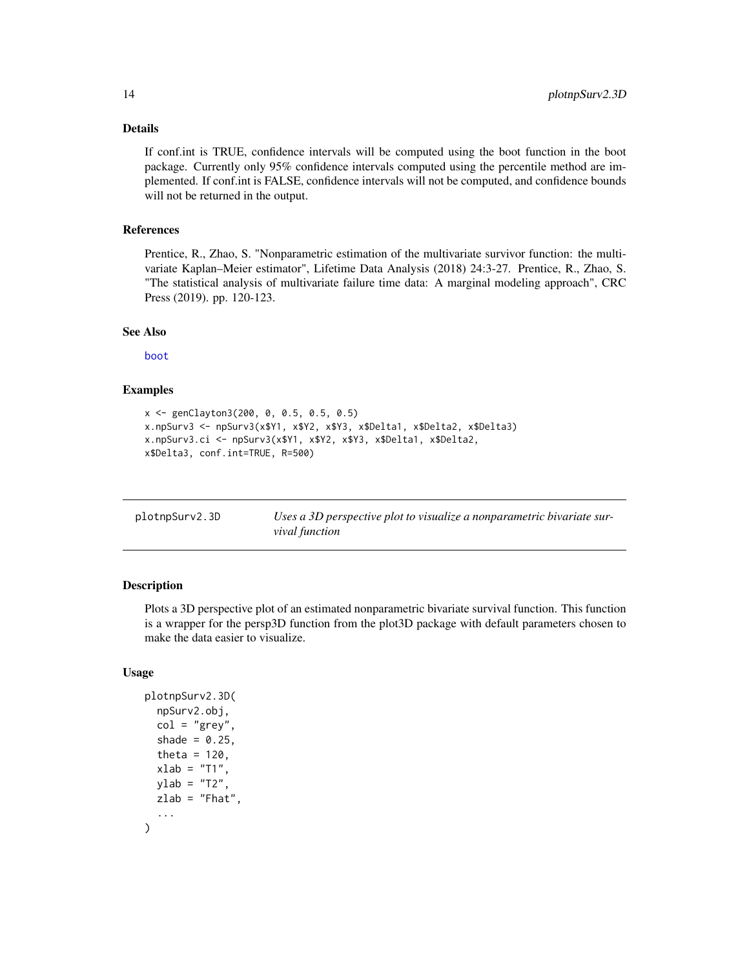# <span id="page-13-0"></span>Details

If conf.int is TRUE, confidence intervals will be computed using the boot function in the boot package. Currently only 95% confidence intervals computed using the percentile method are implemented. If conf.int is FALSE, confidence intervals will not be computed, and confidence bounds will not be returned in the output.

#### References

Prentice, R., Zhao, S. "Nonparametric estimation of the multivariate survivor function: the multivariate Kaplan–Meier estimator", Lifetime Data Analysis (2018) 24:3-27. Prentice, R., Zhao, S. "The statistical analysis of multivariate failure time data: A marginal modeling approach", CRC Press (2019). pp. 120-123.

#### See Also

[boot](#page-0-0)

# Examples

```
x <- genClayton3(200, 0, 0.5, 0.5, 0.5)
x.npSurv3 <- npSurv3(x$Y1, x$Y2, x$Y3, x$Delta1, x$Delta2, x$Delta3)
x.npSurv3.ci <- npSurv3(x$Y1, x$Y2, x$Y3, x$Delta1, x$Delta2,
x$Delta3, conf.int=TRUE, R=500)
```

| plotnpSurv2.3D | Uses a 3D perspective plot to visualize a nonparametric bivariate sur- |
|----------------|------------------------------------------------------------------------|
|                | <i>vival function</i>                                                  |

#### Description

Plots a 3D perspective plot of an estimated nonparametric bivariate survival function. This function is a wrapper for the persp3D function from the plot3D package with default parameters chosen to make the data easier to visualize.

```
plotnpSurv2.3D(
  npSurv2.obj,
  col = "grey",shade = 0.25,
  theta = 120,
  xlab = "T1",vlab = "T2".zlab = "Fhat",...
)
```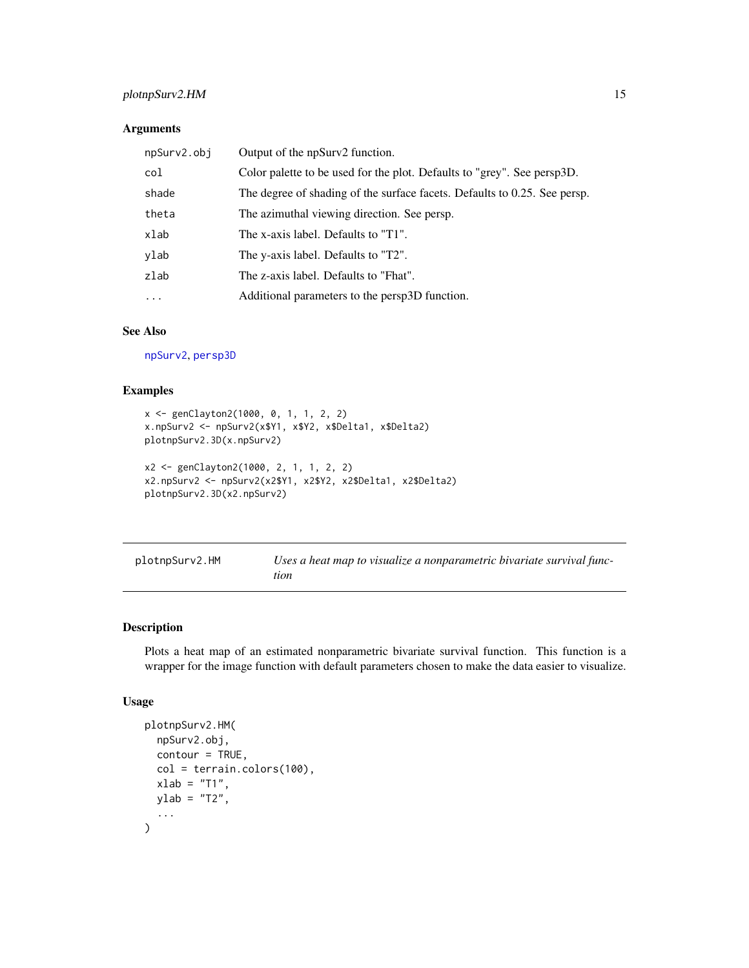# <span id="page-14-0"></span>plotnpSurv2.HM 15

# Arguments

| npSurv2.obj | Output of the npSurv2 function.                                           |
|-------------|---------------------------------------------------------------------------|
| col         | Color palette to be used for the plot. Defaults to "grey". See persp3D.   |
| shade       | The degree of shading of the surface facets. Defaults to 0.25. See persp. |
| theta       | The azimuthal viewing direction. See persp.                               |
| xlab        | The x-axis label. Defaults to "T1".                                       |
| ylab        | The y-axis label. Defaults to "T2".                                       |
| zlab        | The z-axis label. Defaults to "Fhat".                                     |
| $\cdots$    | Additional parameters to the persp3D function.                            |

# See Also

[npSurv2](#page-9-1), [persp3D](#page-0-0)

# Examples

```
x <- genClayton2(1000, 0, 1, 1, 2, 2)
x.npSurv2 <- npSurv2(x$Y1, x$Y2, x$Delta1, x$Delta2)
plotnpSurv2.3D(x.npSurv2)
x2 <- genClayton2(1000, 2, 1, 1, 2, 2)
x2.npSurv2 <- npSurv2(x2$Y1, x2$Y2, x2$Delta1, x2$Delta2)
plotnpSurv2.3D(x2.npSurv2)
```

| plotnpSurv2.HM | Uses a heat map to visualize a nonparametric bivariate survival func- |
|----------------|-----------------------------------------------------------------------|
|                | tion                                                                  |

# Description

Plots a heat map of an estimated nonparametric bivariate survival function. This function is a wrapper for the image function with default parameters chosen to make the data easier to visualize.

```
plotnpSurv2.HM(
  npSurv2.obj,
  contour = TRUE,
  col = terrain.colors(100),
  xlab = "T1",
  ylab = "T2",
  ...
\mathcal{L}
```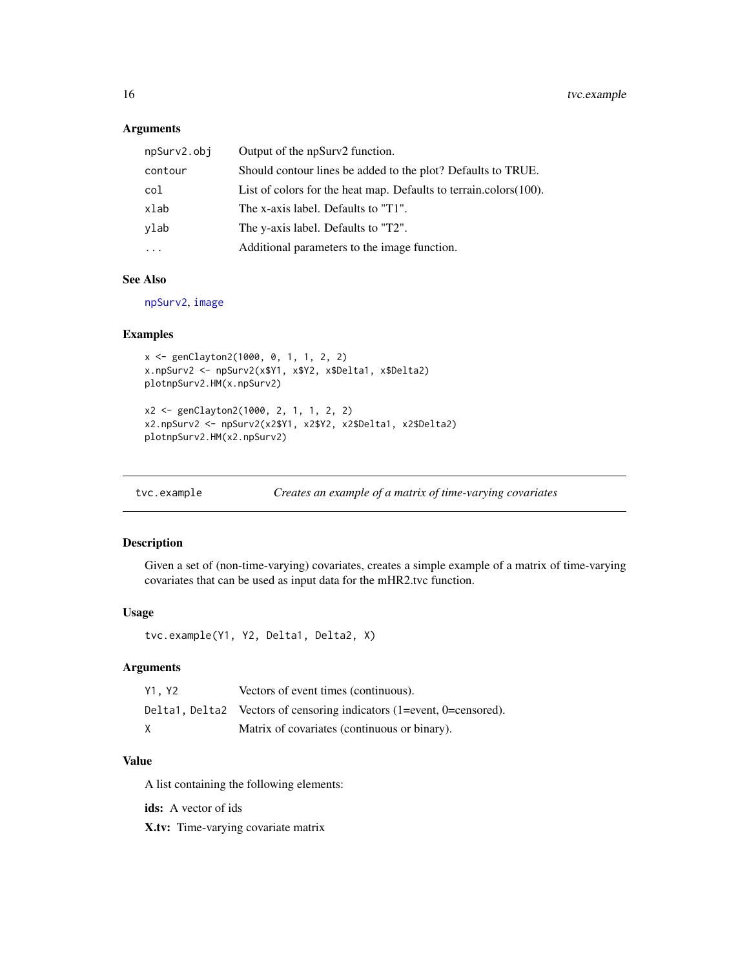# <span id="page-15-0"></span>Arguments

| npSurv2.obj | Output of the npSurv2 function.                                       |
|-------------|-----------------------------------------------------------------------|
| contour     | Should contour lines be added to the plot? Defaults to TRUE.          |
| col         | List of colors for the heat map. Defaults to terrain.colors $(100)$ . |
| xlab        | The x-axis label. Defaults to "T1".                                   |
| ylab        | The y-axis label. Defaults to "T2".                                   |
|             | Additional parameters to the image function.                          |

# See Also

[npSurv2](#page-9-1), [image](#page-0-0)

# Examples

```
x <- genClayton2(1000, 0, 1, 1, 2, 2)
x.npSurv2 <- npSurv2(x$Y1, x$Y2, x$Delta1, x$Delta2)
plotnpSurv2.HM(x.npSurv2)
x2 <- genClayton2(1000, 2, 1, 1, 2, 2)
x2.npSurv2 <- npSurv2(x2$Y1, x2$Y2, x2$Delta1, x2$Delta2)
plotnpSurv2.HM(x2.npSurv2)
```

| tvc.example |                                                           |  |  |
|-------------|-----------------------------------------------------------|--|--|
|             | Creates an example of a matrix of time-varying covariates |  |  |

# Description

Given a set of (non-time-varying) covariates, creates a simple example of a matrix of time-varying covariates that can be used as input data for the mHR2.tvc function.

#### Usage

```
tvc.example(Y1, Y2, Delta1, Delta2, X)
```
# Arguments

| Y1. Y2 | Vectors of event times (continuous).                                  |
|--------|-----------------------------------------------------------------------|
|        | Delta1, Delta2 Vectors of censoring indicators (1=event, 0=censored). |
| X      | Matrix of covariates (continuous or binary).                          |

#### Value

A list containing the following elements:

ids: A vector of ids

X.tv: Time-varying covariate matrix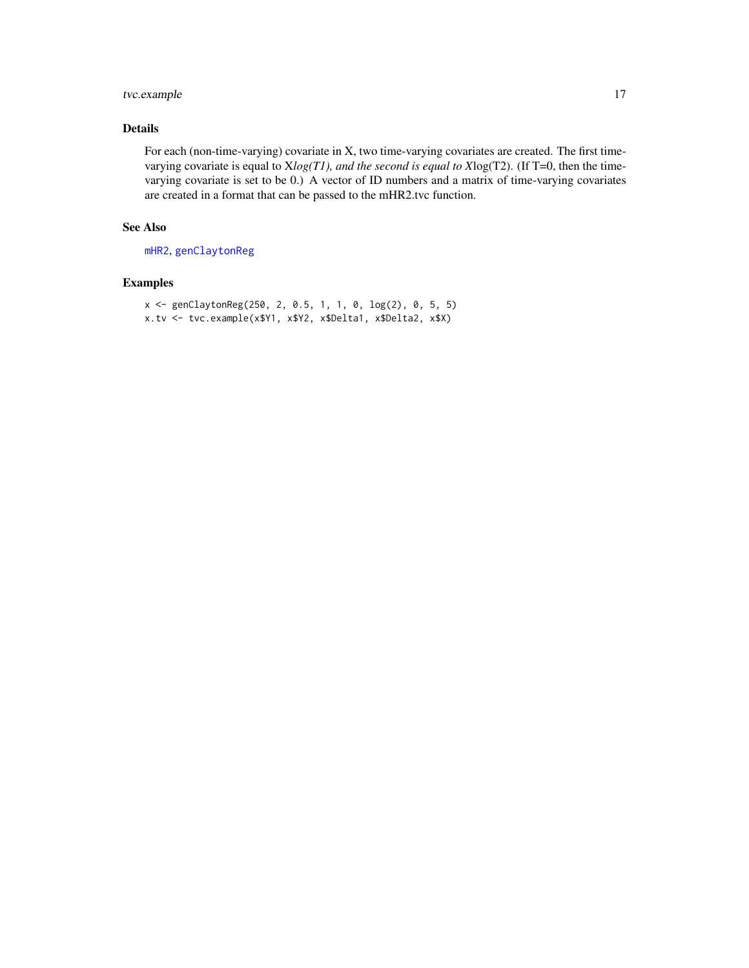# <span id="page-16-0"></span>tvc.example 17

# Details

For each (non-time-varying) covariate in X, two time-varying covariates are created. The first timevarying covariate is equal to X*log(T1), and the second is equal to X*log(T2). (If T=0, then the timevarying covariate is set to be 0.) A vector of ID numbers and a matrix of time-varying covariates are created in a format that can be passed to the mHR2.tvc function.

# See Also

[mHR2](#page-5-1), [genClaytonReg](#page-3-1)

# Examples

```
x <- genClaytonReg(250, 2, 0.5, 1, 1, 0, log(2), 0, 5, 5)
x.tv <- tvc.example(x$Y1, x$Y2, x$Delta1, x$Delta2, x$X)
```